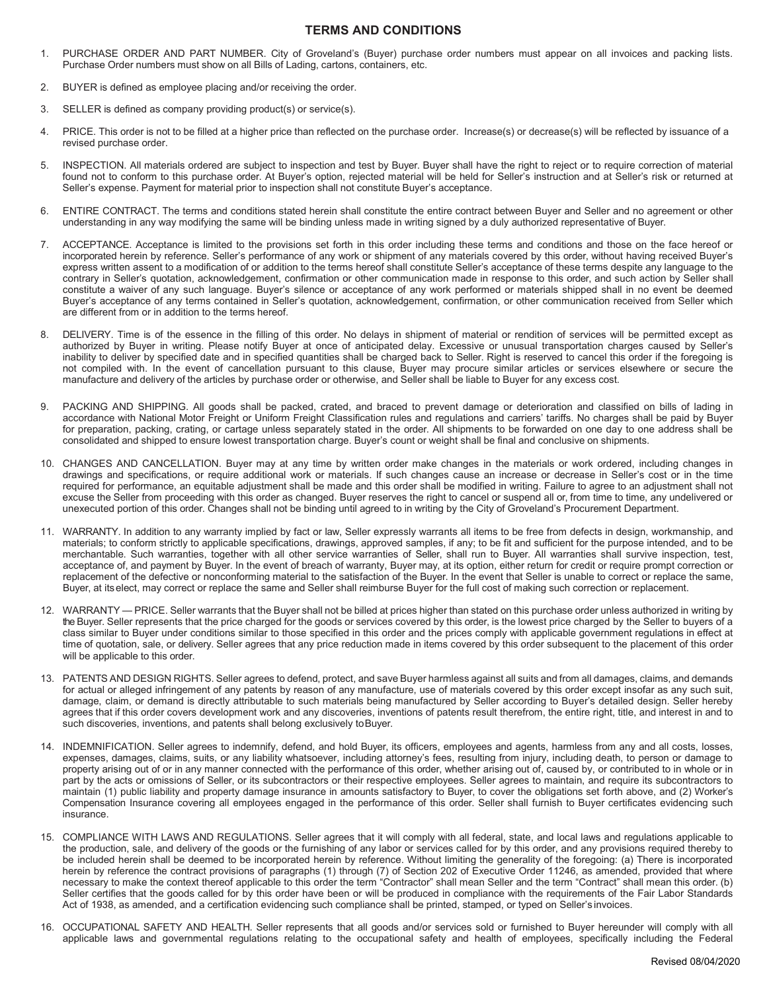## **TERMS AND CONDITIONS**

- 1. PURCHASE ORDER AND PART NUMBER. City of Groveland's (Buyer) purchase order numbers must appear on all invoices and packing lists. Purchase Order numbers must show on all Bills of Lading, cartons, containers, etc.
- 2. BUYER is defined as employee placing and/or receiving the order.
- 3. SELLER is defined as company providing product(s) or service(s).
- 4. PRICE. This order is not to be filled at a higher price than reflected on the purchase order. Increase(s) or decrease(s) will be reflected by issuance of a revised purchase order.
- 5. INSPECTION. All materials ordered are subject to inspection and test by Buyer. Buyer shall have the right to reject or to require correction of material found not to conform to this purchase order. At Buyer's option, rejected material will be held for Seller's instruction and at Seller's risk or returned at Seller's expense. Payment for material prior to inspection shall not constitute Buyer's acceptance.
- 6. ENTIRE CONTRACT. The terms and conditions stated herein shall constitute the entire contract between Buyer and Seller and no agreement or other understanding in any way modifying the same will be binding unless made in writing signed by a duly authorized representative of Buyer.
- 7. ACCEPTANCE. Acceptance is limited to the provisions set forth in this order including these terms and conditions and those on the face hereof or incorporated herein by reference. Seller's performance of any work or shipment of any materials covered by this order, without having received Buyer's express written assent to a modification of or addition to the terms hereof shall constitute Seller's acceptance of these terms despite any language to the contrary in Seller's quotation, acknowledgement, confirmation or other communication made in response to this order, and such action by Seller shall constitute a waiver of any such language. Buyer's silence or acceptance of any work performed or materials shipped shall in no event be deemed Buyer's acceptance of any terms contained in Seller's quotation, acknowledgement, confirmation, or other communication received from Seller which are different from or in addition to the terms hereof.
- 8. DELIVERY. Time is of the essence in the filling of this order. No delays in shipment of material or rendition of services will be permitted except as authorized by Buyer in writing. Please notify Buyer at once of anticipated delay. Excessive or unusual transportation charges caused by Seller's inability to deliver by specified date and in specified quantities shall be charged back to Seller. Right is reserved to cancel this order if the foregoing is not compiled with. In the event of cancellation pursuant to this clause, Buyer may procure similar articles or services elsewhere or secure the manufacture and delivery of the articles by purchase order or otherwise, and Seller shall be liable to Buyer for any excess cost.
- PACKING AND SHIPPING. All goods shall be packed, crated, and braced to prevent damage or deterioration and classified on bills of lading in accordance with National Motor Freight or Uniform Freight Classification rules and regulations and carriers' tariffs. No charges shall be paid by Buyer for preparation, packing, crating, or cartage unless separately stated in the order. All shipments to be forwarded on one day to one address shall be consolidated and shipped to ensure lowest transportation charge. Buyer's count or weight shall be final and conclusive on shipments.
- 10. CHANGES AND CANCELLATION. Buyer may at any time by written order make changes in the materials or work ordered, including changes in drawings and specifications, or require additional work or materials. If such changes cause an increase or decrease in Seller's cost or in the time required for performance, an equitable adjustment shall be made and this order shall be modified in writing. Failure to agree to an adjustment shall not excuse the Seller from proceeding with this order as changed. Buyer reserves the right to cancel or suspend all or, from time to time, any undelivered or unexecuted portion of this order. Changes shall not be binding until agreed to in writing by the City of Groveland's Procurement Department.
- 11. WARRANTY. In addition to any warranty implied by fact or law, Seller expressly warrants all items to be free from defects in design, workmanship, and materials; to conform strictly to applicable specifications, drawings, approved samples, if any; to be fit and sufficient for the purpose intended, and to be merchantable. Such warranties, together with all other service warranties of Seller, shall run to Buyer. All warranties shall survive inspection, test, acceptance of, and payment by Buyer. In the event of breach of warranty, Buyer may, at its option, either return for credit or require prompt correction or replacement of the defective or nonconforming material to the satisfaction of the Buyer. In the event that Seller is unable to correct or replace the same, Buyer, at itselect, may correct or replace the same and Seller shall reimburse Buyer for the full cost of making such correction or replacement.
- 12. WARRANTY PRICE. Seller warrants that the Buyer shall not be billed at prices higher than stated on this purchase order unless authorized in writing by the Buyer. Seller represents that the price charged for the goods or services covered by this order, is the lowest price charged by the Seller to buyers of a class similar to Buyer under conditions similar to those specified in this order and the prices comply with applicable government regulations in effect at time of quotation, sale, or delivery. Seller agrees that any price reduction made in items covered by this order subsequent to the placement of this order will be applicable to this order.
- 13. PATENTS AND DESIGN RIGHTS. Seller agrees to defend, protect, and save Buyer harmless against all suits and from all damages, claims, and demands for actual or alleged infringement of any patents by reason of any manufacture, use of materials covered by this order except insofar as any such suit, damage, claim, or demand is directly attributable to such materials being manufactured by Seller according to Buyer's detailed design. Seller hereby agrees that if this order covers development work and any discoveries, inventions of patents result therefrom, the entire right, title, and interest in and to such discoveries, inventions, and patents shall belong exclusively toBuyer.
- 14. INDEMNIFICATION. Seller agrees to indemnify, defend, and hold Buyer, its officers, employees and agents, harmless from any and all costs, losses, expenses, damages, claims, suits, or any liability whatsoever, including attorney's fees, resulting from injury, including death, to person or damage to property arising out of or in any manner connected with the performance of this order, whether arising out of, caused by, or contributed to in whole or in part by the acts or omissions of Seller, or its subcontractors or their respective employees. Seller agrees to maintain, and require its subcontractors to maintain (1) public liability and property damage insurance in amounts satisfactory to Buyer, to cover the obligations set forth above, and (2) Worker's Compensation Insurance covering all employees engaged in the performance of this order. Seller shall furnish to Buyer certificates evidencing such insurance.
- 15. COMPLIANCE WITH LAWS AND REGULATIONS. Seller agrees that it will comply with all federal, state, and local laws and regulations applicable to the production, sale, and delivery of the goods or the furnishing of any labor or services called for by this order, and any provisions required thereby to be included herein shall be deemed to be incorporated herein by reference. Without limiting the generality of the foregoing: (a) There is incorporated herein by reference the contract provisions of paragraphs (1) through (7) of Section 202 of Executive Order 11246, as amended, provided that where necessary to make the context thereof applicable to this order the term "Contractor" shall mean Seller and the term "Contract" shall mean this order. (b) Seller certifies that the goods called for by this order have been or will be produced in compliance with the requirements of the Fair Labor Standards Act of 1938, as amended, and a certification evidencing such compliance shall be printed, stamped, or typed on Seller's invoices.
- 16. OCCUPATIONAL SAFETY AND HEALTH. Seller represents that all goods and/or services sold or furnished to Buyer hereunder will comply with all applicable laws and governmental regulations relating to the occupational safety and health of employees, specifically including the Federal